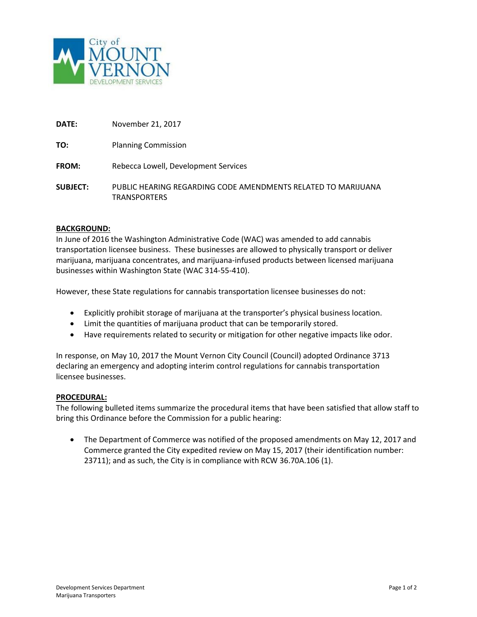

| <b>DATE:</b> | November 21, 2017 |  |
|--------------|-------------------|--|
|              |                   |  |

**TO:** Planning Commission

**FROM:** Rebecca Lowell, Development Services

**SUBJECT:** PUBLIC HEARING REGARDING CODE AMENDMENTS RELATED TO MARIJUANA TRANSPORTERS

#### **BACKGROUND:**

In June of 2016 the Washington Administrative Code (WAC) was amended to add cannabis transportation licensee business. These businesses are allowed to physically transport or deliver marijuana, marijuana concentrates, and marijuana-infused products between licensed marijuana businesses within Washington State (WAC 314-55-410).

However, these State regulations for cannabis transportation licensee businesses do not:

- Explicitly prohibit storage of marijuana at the transporter's physical business location.
- Limit the quantities of marijuana product that can be temporarily stored.
- Have requirements related to security or mitigation for other negative impacts like odor.

In response, on May 10, 2017 the Mount Vernon City Council (Council) adopted Ordinance 3713 declaring an emergency and adopting interim control regulations for cannabis transportation licensee businesses.

#### **PROCEDURAL:**

The following bulleted items summarize the procedural items that have been satisfied that allow staff to bring this Ordinance before the Commission for a public hearing:

• The Department of Commerce was notified of the proposed amendments on May 12, 2017 and Commerce granted the City expedited review on May 15, 2017 (their identification number: 23711); and as such, the City is in compliance with RCW 36.70A.106 (1).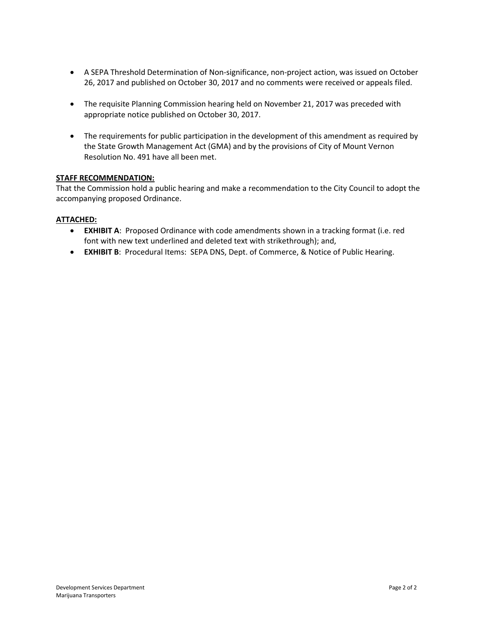- A SEPA Threshold Determination of Non-significance, non-project action, was issued on October 26, 2017 and published on October 30, 2017 and no comments were received or appeals filed.
- The requisite Planning Commission hearing held on November 21, 2017 was preceded with appropriate notice published on October 30, 2017.
- The requirements for public participation in the development of this amendment as required by the State Growth Management Act (GMA) and by the provisions of City of Mount Vernon Resolution No. 491 have all been met.

## **STAFF RECOMMENDATION:**

That the Commission hold a public hearing and make a recommendation to the City Council to adopt the accompanying proposed Ordinance.

## **ATTACHED:**

- **EXHIBIT A**: Proposed Ordinance with code amendments shown in a tracking format (i.e. red font with new text underlined and deleted text with strikethrough); and,
- **EXHIBIT B**: Procedural Items: SEPA DNS, Dept. of Commerce, & Notice of Public Hearing.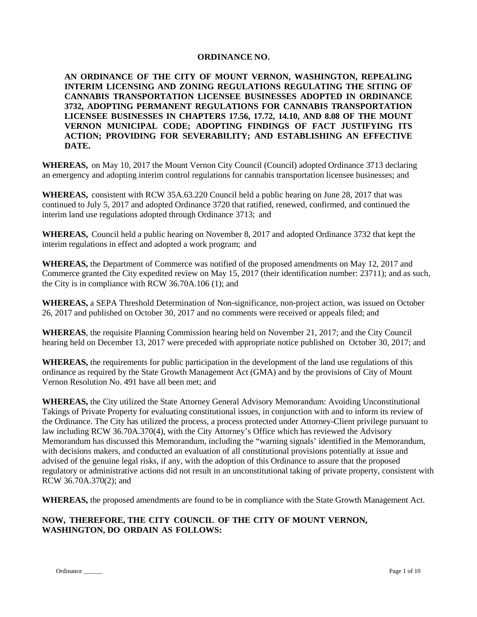#### **ORDINANCE NO.**

**AN ORDINANCE OF THE CITY OF MOUNT VERNON, WASHINGTON, REPEALING INTERIM LICENSING AND ZONING REGULATIONS REGULATING THE SITING OF CANNABIS TRANSPORTATION LICENSEE BUSINESSES ADOPTED IN ORDINANCE 3732, ADOPTING PERMANENT REGULATIONS FOR CANNABIS TRANSPORTATION LICENSEE BUSINESSES IN CHAPTERS 17.56, 17.72, 14.10, AND 8.08 OF THE MOUNT VERNON MUNICIPAL CODE; ADOPTING FINDINGS OF FACT JUSTIFYING ITS ACTION; PROVIDING FOR SEVERABILITY; AND ESTABLISHING AN EFFECTIVE DATE.**

**WHEREAS,** on May 10, 2017 the Mount Vernon City Council (Council) adopted Ordinance 3713 declaring an emergency and adopting interim control regulations for cannabis transportation licensee businesses; and

**WHEREAS,** consistent with RCW 35A.63.220 Council held a public hearing on June 28, 2017 that was continued to July 5, 2017 and adopted Ordinance 3720 that ratified, renewed, confirmed, and continued the interim land use regulations adopted through Ordinance 3713; and

**WHEREAS,** Council held a public hearing on November 8, 2017 and adopted Ordinance 3732 that kept the interim regulations in effect and adopted a work program; and

**WHEREAS,** the Department of Commerce was notified of the proposed amendments on May 12, 2017 and Commerce granted the City expedited review on May 15, 2017 (their identification number: 23711); and as such, the City is in compliance with RCW 36.70A.106 (1); and

**WHEREAS,** a SEPA Threshold Determination of Non-significance, non-project action, was issued on October 26, 2017 and published on October 30, 2017 and no comments were received or appeals filed; and

**WHEREAS**, the requisite Planning Commission hearing held on November 21, 2017; and the City Council hearing held on December 13, 2017 were preceded with appropriate notice published on October 30, 2017; and

**WHEREAS,** the requirements for public participation in the development of the land use regulations of this ordinance as required by the State Growth Management Act (GMA) and by the provisions of City of Mount Vernon Resolution No. 491 have all been met; and

**WHEREAS,** the City utilized the State Attorney General Advisory Memorandum: Avoiding Unconstitutional Takings of Private Property for evaluating constitutional issues, in conjunction with and to inform its review of the Ordinance. The City has utilized the process, a process protected under Attorney-Client privilege pursuant to law including RCW 36.70A.370(4), with the City Attorney's Office which has reviewed the Advisory Memorandum has discussed this Memorandum, including the "warning signals' identified in the Memorandum, with decisions makers, and conducted an evaluation of all constitutional provisions potentially at issue and advised of the genuine legal risks, if any, with the adoption of this Ordinance to assure that the proposed regulatory or administrative actions did not result in an unconstitutional taking of private property, consistent with RCW 36.70A.370(2); and

**WHEREAS,** the proposed amendments are found to be in compliance with the State Growth Management Act.

# **NOW, THEREFORE, THE CITY COUNCIL OF THE CITY OF MOUNT VERNON, WASHINGTON, DO ORDAIN AS FOLLOWS:**

Ordinance Page 1 of 10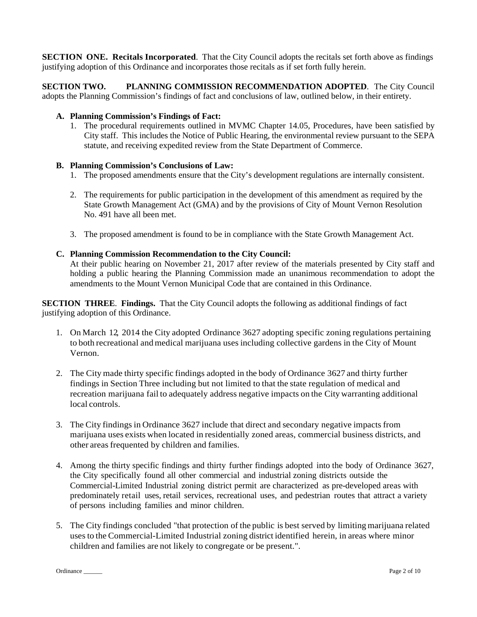**SECTION ONE. Recitals Incorporated**. That the City Council adopts the recitals set forth above as findings justifying adoption of this Ordinance and incorporates those recitals as if set forth fully herein.

**SECTION TWO. PLANNING COMMISSION RECOMMENDATION ADOPTED**. The City Council adopts the Planning Commission's findings of fact and conclusions of law, outlined below, in their entirety.

## **A. Planning Commission's Findings of Fact:**

1. The procedural requirements outlined in MVMC Chapter 14.05, Procedures, have been satisfied by City staff. This includes the Notice of Public Hearing, the environmental review pursuant to the SEPA statute, and receiving expedited review from the State Department of Commerce.

# **B. Planning Commission's Conclusions of Law:**

- 1. The proposed amendments ensure that the City's development regulations are internally consistent.
- 2. The requirements for public participation in the development of this amendment as required by the State Growth Management Act (GMA) and by the provisions of City of Mount Vernon Resolution No. 491 have all been met.
- 3. The proposed amendment is found to be in compliance with the State Growth Management Act.

## **C. Planning Commission Recommendation to the City Council:**

At their public hearing on November 21, 2017 after review of the materials presented by City staff and holding a public hearing the Planning Commission made an unanimous recommendation to adopt the amendments to the Mount Vernon Municipal Code that are contained in this Ordinance.

**SECTION THREE**. **Findings.** That the City Council adopts the following as additional findings of fact justifying adoption of this Ordinance.

- 1. On March 12, 2014 the City adopted Ordinance 3627 adopting specific zoning regulations pertaining to both recreational and medical marijuana uses including collective gardens in the City of Mount Vernon.
- 2. The City made thirty specific findings adopted in the body of Ordinance 3627 and thirty further findings in Section Three including but not limited to that the state regulation of medical and recreation marijuana fail to adequately address negative impacts on the City warranting additional local controls.
- 3. The City findings in Ordinance 3627 include that direct and secondary negative impacts from marijuana uses exists when located in residentially zoned areas, commercial business districts, and other areas frequented by children and families.
- 4. Among the thirty specific findings and thirty further findings adopted into the body of Ordinance 3627, the City specifically found all other commercial and industrial zoning districts outside the Commercial-Limited Industrial zoning district permit are characterized as pre-developed areas with predominately retail uses, retail services, recreational uses, and pedestrian routes that attract a variety of persons including families and minor children.
- 5. The City findings concluded ''that protection of the public is best served by limitingmarijuana related usesto the Commercial-Limited Industrial zoning district identified herein, in areas where minor children and families are not likely to congregate or be present.".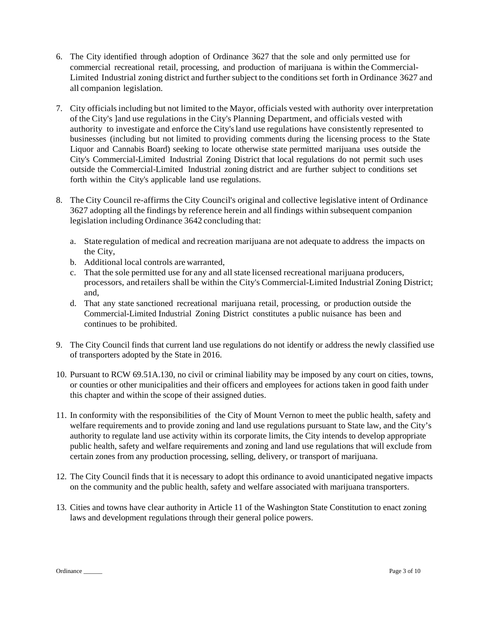- 6. The City identified through adoption of Ordinance 3627 that the sole and only permitted use for commercial recreational retail, processing, and production of marijuana is within the Commercial-Limited Industrial zoning district and further subject to the conditions set forth in Ordinance 3627 and all companion legislation.
- 7. City officialsincluding but not limited to the Mayor, officials vested with authority over interpretation of the City's ]and use regulations in the City's Planning Department, and officials vested with authority to investigate and enforce the City'sland use regulations have consistently represented to businesses (including but not limited to providing comments during the licensing process to the State Liquor and Cannabis Board) seeking to locate otherwise state permitted marijuana uses outside the City's Commercial-Limited Industrial Zoning District that local regulations do not permit such uses outside the Commercial-Limited Industrial zoning district and are further subject to conditions set forth within the City's applicable land use regulations.
- 8. The City Council re-affirms the City Council's original and collective legislative intent of Ordinance 3627 adopting all the findings by reference herein and all findings within subsequent companion legislation including Ordinance 3642 concluding that:
	- a. State regulation of medical and recreation marijuana are not adequate to address the impacts on the City,
	- b. Additional local controls are warranted,
	- c. That the sole permitted use for any and all state licensed recreational marijuana producers, processors, and retailers shall be within the City's Commercial-Limited Industrial Zoning District; and,
	- d. That any state sanctioned recreational marijuana retail, processing, or production outside the Commercial-Limited Industrial Zoning District constitutes a public nuisance has been and continues to be prohibited.
- 9. The City Council finds that current land use regulations do not identify or address the newly classified use of transporters adopted by the State in 2016.
- 10. Pursuant to RCW 69.51A.130, no civil or criminal liability may be imposed by any court on cities, towns, or counties or other municipalities and their officers and employees for actions taken in good faith under this chapter and within the scope of their assigned duties.
- 11. In conformity with the responsibilities of the City of Mount Vernon to meet the public health, safety and welfare requirements and to provide zoning and land use regulations pursuant to State law, and the City's authority to regulate land use activity within its corporate limits, the City intends to develop appropriate public health, safety and welfare requirements and zoning and land use regulations that will exclude from certain zones from any production processing, selling, delivery, or transport of marijuana.
- 12. The City Council finds that it is necessary to adopt this ordinance to avoid unanticipated negative impacts on the community and the public health, safety and welfare associated with marijuana transporters.
- 13. Cities and towns have clear authority in Article 11 of the Washington State Constitution to enact zoning laws and development regulations through their general police powers.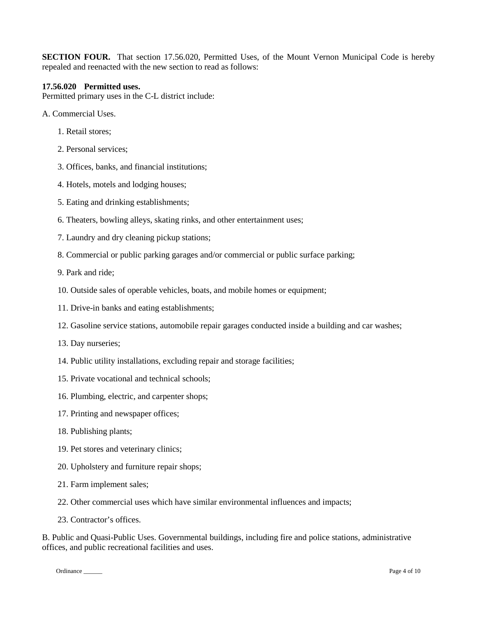**SECTION FOUR.** That section 17.56.020, Permitted Uses, of the Mount Vernon Municipal Code is hereby repealed and reenacted with the new section to read as follows:

#### **17.56.020 Permitted uses.**

Permitted primary uses in the C-L district include:

- A. Commercial Uses.
	- 1. Retail stores;
	- 2. Personal services;
	- 3. Offices, banks, and financial institutions;
	- 4. Hotels, motels and lodging houses;
	- 5. Eating and drinking establishments;
	- 6. Theaters, bowling alleys, skating rinks, and other entertainment uses;
	- 7. Laundry and dry cleaning pickup stations;
	- 8. Commercial or public parking garages and/or commercial or public surface parking;

9. Park and ride;

- 10. Outside sales of operable vehicles, boats, and mobile homes or equipment;
- 11. Drive-in banks and eating establishments;
- 12. Gasoline service stations, automobile repair garages conducted inside a building and car washes;
- 13. Day nurseries;
- 14. Public utility installations, excluding repair and storage facilities;
- 15. Private vocational and technical schools;
- 16. Plumbing, electric, and carpenter shops;
- 17. Printing and newspaper offices;
- 18. Publishing plants;
- 19. Pet stores and veterinary clinics;
- 20. Upholstery and furniture repair shops;
- 21. Farm implement sales;
- 22. Other commercial uses which have similar environmental influences and impacts;
- 23. Contractor's offices.

B. Public and Quasi-Public Uses. Governmental buildings, including fire and police stations, administrative offices, and public recreational facilities and uses.

Ordinance \_\_\_\_\_\_\_\_ Page 4 of 10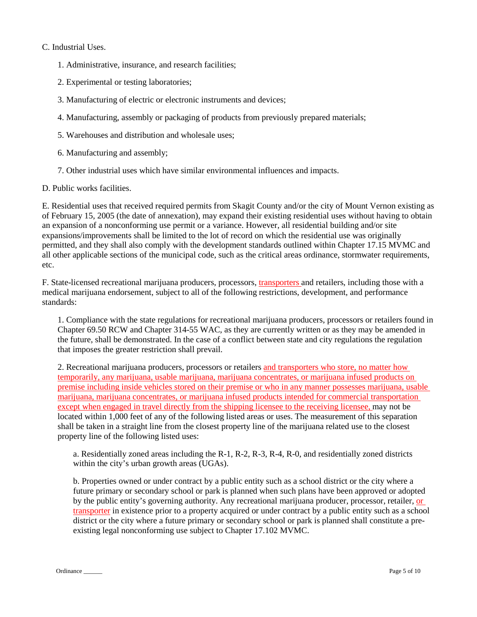## C. Industrial Uses.

- 1. Administrative, insurance, and research facilities;
- 2. Experimental or testing laboratories;
- 3. Manufacturing of electric or electronic instruments and devices;
- 4. Manufacturing, assembly or packaging of products from previously prepared materials;
- 5. Warehouses and distribution and wholesale uses;
- 6. Manufacturing and assembly;
- 7. Other industrial uses which have similar environmental influences and impacts.
- D. Public works facilities.

E. Residential uses that received required permits from Skagit County and/or the city of Mount Vernon existing as of February 15, 2005 (the date of annexation), may expand their existing residential uses without having to obtain an expansion of a nonconforming use permit or a variance. However, all residential building and/or site expansions/improvements shall be limited to the lot of record on which the residential use was originally permitted, and they shall also comply with the development standards outlined within Chapter 17.15 MVMC and all other applicable sections of the municipal code, such as the critical areas ordinance, stormwater requirements, etc.

F. State-licensed recreational marijuana producers, processors, transporters and retailers, including those with a medical marijuana endorsement, subject to all of the following restrictions, development, and performance standards:

1. Compliance with the state regulations for recreational marijuana producers, processors or retailers found in Chapter 69.50 RCW and Chapter 314-55 WAC, as they are currently written or as they may be amended in the future, shall be demonstrated. In the case of a conflict between state and city regulations the regulation that imposes the greater restriction shall prevail.

2. Recreational marijuana producers, processors or retailers and transporters who store, no matter how temporarily, any marijuana, usable marijuana, marijuana concentrates, or marijuana infused products on premise including inside vehicles stored on their premise or who in any manner possesses marijuana, usable marijuana, marijuana concentrates, or marijuana infused products intended for commercial transportation except when engaged in travel directly from the shipping licensee to the receiving licensee, may not be located within 1,000 feet of any of the following listed areas or uses. The measurement of this separation shall be taken in a straight line from the closest property line of the marijuana related use to the closest property line of the following listed uses:

a. Residentially zoned areas including the R-1, R-2, R-3, R-4, R-0, and residentially zoned districts within the city's urban growth areas (UGAs).

b. Properties owned or under contract by a public entity such as a school district or the city where a future primary or secondary school or park is planned when such plans have been approved or adopted by the public entity's governing authority. Any recreational marijuana producer, processor, retailer, or transporter in existence prior to a property acquired or under contract by a public entity such as a school district or the city where a future primary or secondary school or park is planned shall constitute a preexisting legal nonconforming use subject to Chapter 17.102 MVMC.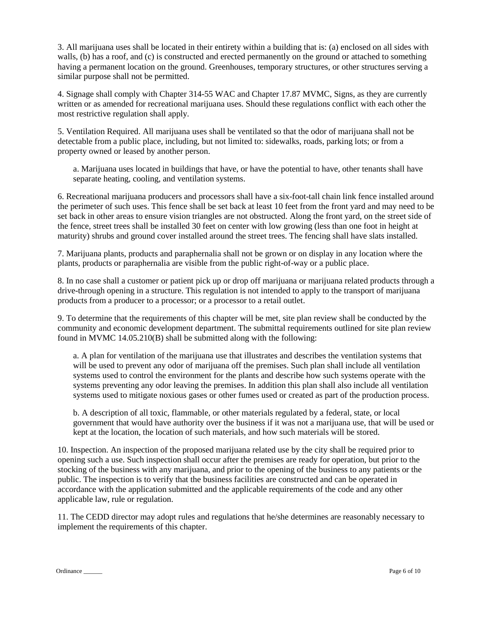3. All marijuana uses shall be located in their entirety within a building that is: (a) enclosed on all sides with walls, (b) has a roof, and (c) is constructed and erected permanently on the ground or attached to something having a permanent location on the ground. Greenhouses, temporary structures, or other structures serving a similar purpose shall not be permitted.

4. Signage shall comply with Chapter 314-55 WAC and Chapter 17.87 MVMC, Signs, as they are currently written or as amended for recreational marijuana uses. Should these regulations conflict with each other the most restrictive regulation shall apply.

5. Ventilation Required. All marijuana uses shall be ventilated so that the odor of marijuana shall not be detectable from a public place, including, but not limited to: sidewalks, roads, parking lots; or from a property owned or leased by another person.

a. Marijuana uses located in buildings that have, or have the potential to have, other tenants shall have separate heating, cooling, and ventilation systems.

6. Recreational marijuana producers and processors shall have a six-foot-tall chain link fence installed around the perimeter of such uses. This fence shall be set back at least 10 feet from the front yard and may need to be set back in other areas to ensure vision triangles are not obstructed. Along the front yard, on the street side of the fence, street trees shall be installed 30 feet on center with low growing (less than one foot in height at maturity) shrubs and ground cover installed around the street trees. The fencing shall have slats installed.

7. Marijuana plants, products and paraphernalia shall not be grown or on display in any location where the plants, products or paraphernalia are visible from the public right-of-way or a public place.

8. In no case shall a customer or patient pick up or drop off marijuana or marijuana related products through a drive-through opening in a structure. This regulation is not intended to apply to the transport of marijuana products from a producer to a processor; or a processor to a retail outlet.

9. To determine that the requirements of this chapter will be met, site plan review shall be conducted by the community and economic development department. The submittal requirements outlined for site plan review found in MVMC 14.05.210(B) shall be submitted along with the following:

a. A plan for ventilation of the marijuana use that illustrates and describes the ventilation systems that will be used to prevent any odor of marijuana off the premises. Such plan shall include all ventilation systems used to control the environment for the plants and describe how such systems operate with the systems preventing any odor leaving the premises. In addition this plan shall also include all ventilation systems used to mitigate noxious gases or other fumes used or created as part of the production process.

b. A description of all toxic, flammable, or other materials regulated by a federal, state, or local government that would have authority over the business if it was not a marijuana use, that will be used or kept at the location, the location of such materials, and how such materials will be stored.

10. Inspection. An inspection of the proposed marijuana related use by the city shall be required prior to opening such a use. Such inspection shall occur after the premises are ready for operation, but prior to the stocking of the business with any marijuana, and prior to the opening of the business to any patients or the public. The inspection is to verify that the business facilities are constructed and can be operated in accordance with the application submitted and the applicable requirements of the code and any other applicable law, rule or regulation.

11. The CEDD director may adopt rules and regulations that he/she determines are reasonably necessary to implement the requirements of this chapter.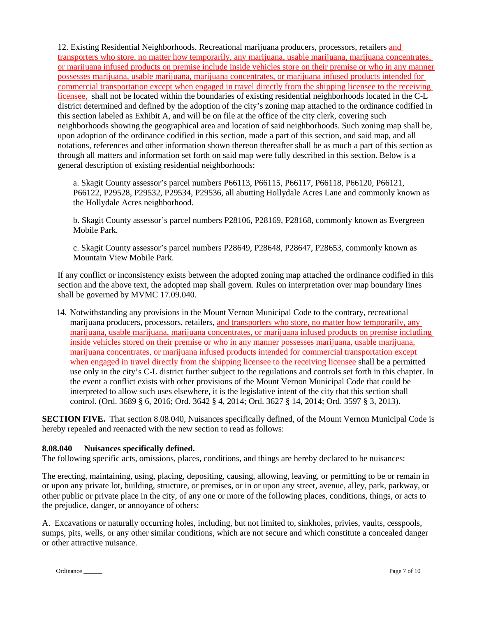12. Existing Residential Neighborhoods. Recreational marijuana producers, processors, retailers and transporters who store, no matter how temporarily, any marijuana, usable marijuana, marijuana concentrates, or marijuana infused products on premise include inside vehicles store on their premise or who in any manner possesses marijuana, usable marijuana, marijuana concentrates, or marijuana infused products intended for commercial transportation except when engaged in travel directly from the shipping licensee to the receiving licensee, shall not be located within the boundaries of existing residential neighborhoods located in the C-L district determined and defined by the adoption of the city's zoning map attached to the ordinance codified in this section labeled as Exhibit A, and will be on file at the office of the city clerk, covering such neighborhoods showing the geographical area and location of said neighborhoods. Such zoning map shall be, upon adoption of the ordinance codified in this section, made a part of this section, and said map, and all notations, references and other information shown thereon thereafter shall be as much a part of this section as through all matters and information set forth on said map were fully described in this section. Below is a general description of existing residential neighborhoods:

a. Skagit County assessor's parcel numbers P66113, P66115, P66117, P66118, P66120, P66121, P66122, P29528, P29532, P29534, P29536, all abutting Hollydale Acres Lane and commonly known as the Hollydale Acres neighborhood.

b. Skagit County assessor's parcel numbers P28106, P28169, P28168, commonly known as Evergreen Mobile Park.

c. Skagit County assessor's parcel numbers P28649, P28648, P28647, P28653, commonly known as Mountain View Mobile Park.

If any conflict or inconsistency exists between the adopted zoning map attached the ordinance codified in this section and the above text, the adopted map shall govern. Rules on interpretation over map boundary lines shall be governed by MVMC 17.09.040.

14. Notwithstanding any provisions in the Mount Vernon Municipal Code to the contrary, recreational marijuana producers, processors, retailers, and transporters who store, no matter how temporarily, any marijuana, usable marijuana, marijuana concentrates, or marijuana infused products on premise including inside vehicles stored on their premise or who in any manner possesses marijuana, usable marijuana, marijuana concentrates, or marijuana infused products intended for commercial transportation except when engaged in travel directly from the shipping licensee to the receiving licensee shall be a permitted use only in the city's C-L district further subject to the regulations and controls set forth in this chapter. In the event a conflict exists with other provisions of the Mount Vernon Municipal Code that could be interpreted to allow such uses elsewhere, it is the legislative intent of the city that this section shall control. (Ord. 3689 § 6, 2016; Ord. 3642 § 4, 2014; Ord. 3627 § 14, 2014; Ord. 3597 § 3, 2013).

**SECTION FIVE.** That section 8.08.040, Nuisances specifically defined, of the Mount Vernon Municipal Code is hereby repealed and reenacted with the new section to read as follows:

#### **8.08.040 Nuisances specifically defined.**

The following specific acts, omissions, places, conditions, and things are hereby declared to be nuisances:

The erecting, maintaining, using, placing, depositing, causing, allowing, leaving, or permitting to be or remain in or upon any private lot, building, structure, or premises, or in or upon any street, avenue, alley, park, parkway, or other public or private place in the city, of any one or more of the following places, conditions, things, or acts to the prejudice, danger, or annoyance of others:

A. Excavations or naturally occurring holes, including, but not limited to, sinkholes, privies, vaults, cesspools, sumps, pits, wells, or any other similar conditions, which are not secure and which constitute a concealed danger or other attractive nuisance.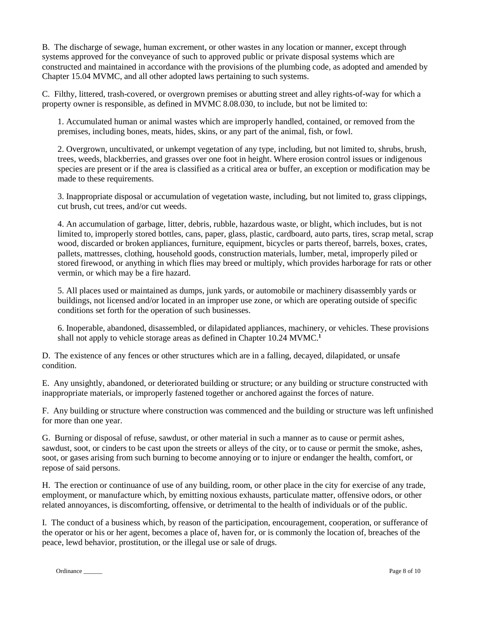B. The discharge of sewage, human excrement, or other wastes in any location or manner, except through systems approved for the conveyance of such to approved public or private disposal systems which are constructed and maintained in accordance with the provisions of the plumbing code, as adopted and amended by Chapter 15.04 MVMC, and all other adopted laws pertaining to such systems.

C. Filthy, littered, trash-covered, or overgrown premises or abutting street and alley rights-of-way for which a property owner is responsible, as defined in MVMC 8.08.030, to include, but not be limited to:

1. Accumulated human or animal wastes which are improperly handled, contained, or removed from the premises, including bones, meats, hides, skins, or any part of the animal, fish, or fowl.

2. Overgrown, uncultivated, or unkempt vegetation of any type, including, but not limited to, shrubs, brush, trees, weeds, blackberries, and grasses over one foot in height. Where erosion control issues or indigenous species are present or if the area is classified as a critical area or buffer, an exception or modification may be made to these requirements.

3. Inappropriate disposal or accumulation of vegetation waste, including, but not limited to, grass clippings, cut brush, cut trees, and/or cut weeds.

4. An accumulation of garbage, litter, debris, rubble, hazardous waste, or blight, which includes, but is not limited to, improperly stored bottles, cans, paper, glass, plastic, cardboard, auto parts, tires, scrap metal, scrap wood, discarded or broken appliances, furniture, equipment, bicycles or parts thereof, barrels, boxes, crates, pallets, mattresses, clothing, household goods, construction materials, lumber, metal, improperly piled or stored firewood, or anything in which flies may breed or multiply, which provides harborage for rats or other vermin, or which may be a fire hazard.

5. All places used or maintained as dumps, junk yards, or automobile or machinery disassembly yards or buildings, not licensed and/or located in an improper use zone, or which are operating outside of specific conditions set forth for the operation of such businesses.

6. Inoperable, abandoned, disassembled, or dilapidated appliances, machinery, or vehicles. These provisions shall not apply to vehicle storage areas as defined in Chapter 10.24 MVMC.**<sup>1</sup>**

D. The existence of any fences or other structures which are in a falling, decayed, dilapidated, or unsafe condition.

E. Any unsightly, abandoned, or deteriorated building or structure; or any building or structure constructed with inappropriate materials, or improperly fastened together or anchored against the forces of nature.

F. Any building or structure where construction was commenced and the building or structure was left unfinished for more than one year.

G. Burning or disposal of refuse, sawdust, or other material in such a manner as to cause or permit ashes, sawdust, soot, or cinders to be cast upon the streets or alleys of the city, or to cause or permit the smoke, ashes, soot, or gases arising from such burning to become annoying or to injure or endanger the health, comfort, or repose of said persons.

H. The erection or continuance of use of any building, room, or other place in the city for exercise of any trade, employment, or manufacture which, by emitting noxious exhausts, particulate matter, offensive odors, or other related annoyances, is discomforting, offensive, or detrimental to the health of individuals or of the public.

I. The conduct of a business which, by reason of the participation, encouragement, cooperation, or sufferance of the operator or his or her agent, becomes a place of, haven for, or is commonly the location of, breaches of the peace, lewd behavior, prostitution, or the illegal use or sale of drugs.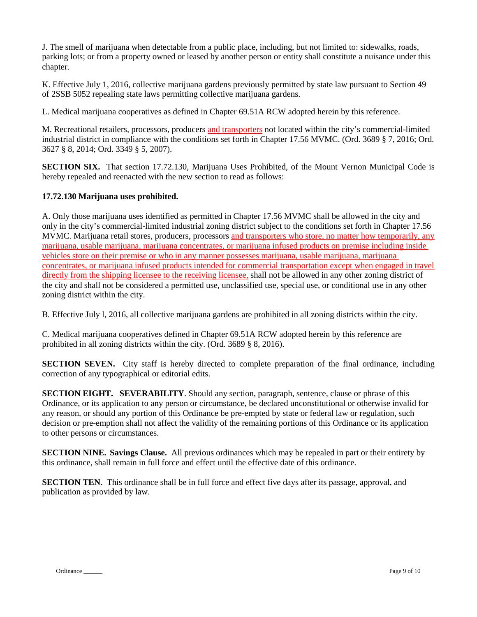J. The smell of marijuana when detectable from a public place, including, but not limited to: sidewalks, roads, parking lots; or from a property owned or leased by another person or entity shall constitute a nuisance under this chapter.

K. Effective July 1, 2016, collective marijuana gardens previously permitted by state law pursuant to Section 49 of 2SSB 5052 repealing state laws permitting collective marijuana gardens.

L. Medical marijuana cooperatives as defined in Chapter 69.51A RCW adopted herein by this reference.

M. Recreational retailers, processors, producers and transporters not located within the city's commercial-limited industrial district in compliance with the conditions set forth in Chapter 17.56 MVMC. (Ord. 3689 § 7, 2016; Ord. 3627 § 8, 2014; Ord. 3349 § 5, 2007).

**SECTION SIX.** That section 17.72.130, Marijuana Uses Prohibited, of the Mount Vernon Municipal Code is hereby repealed and reenacted with the new section to read as follows:

#### **17.72.130 Marijuana uses prohibited.**

A. Only those marijuana uses identified as permitted in Chapter 17.56 MVMC shall be allowed in the city and only in the city's commercial-limited industrial zoning district subject to the conditions set forth in Chapter 17.56 MVMC. Marijuana retail stores, producers, processors and transporters who store, no matter how temporarily, any marijuana, usable marijuana, marijuana concentrates, or marijuana infused products on premise including inside vehicles store on their premise or who in any manner possesses marijuana, usable marijuana, marijuana concentrates, or marijuana infused products intended for commercial transportation except when engaged in travel directly from the shipping licensee to the receiving licensee, shall not be allowed in any other zoning district of the city and shall not be considered a permitted use, unclassified use, special use, or conditional use in any other zoning district within the city.

B. Effective July l, 2016, all collective marijuana gardens are prohibited in all zoning districts within the city.

C. Medical marijuana cooperatives defined in Chapter 69.51A RCW adopted herein by this reference are prohibited in all zoning districts within the city. (Ord. 3689 § 8, 2016).

**SECTION SEVEN.** City staff is hereby directed to complete preparation of the final ordinance, including correction of any typographical or editorial edits.

**SECTION EIGHT. SEVERABILITY**. Should any section, paragraph, sentence, clause or phrase of this Ordinance, or its application to any person or circumstance, be declared unconstitutional or otherwise invalid for any reason, or should any portion of this Ordinance be pre-empted by state or federal law or regulation, such decision or pre-emption shall not affect the validity of the remaining portions of this Ordinance or its application to other persons or circumstances.

**SECTION NINE. Savings Clause.** All previous ordinances which may be repealed in part or their entirety by this ordinance, shall remain in full force and effect until the effective date of this ordinance.

**SECTION TEN.** This ordinance shall be in full force and effect five days after its passage, approval, and publication as provided by law.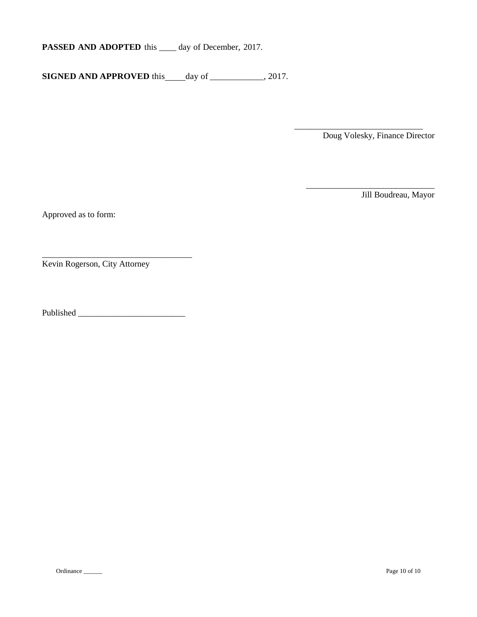**PASSED AND ADOPTED** this \_\_\_\_ day of December, 2017.

**SIGNED AND APPROVED** this day of \_\_\_\_\_\_\_\_\_\_, 2017.

\_\_\_\_\_\_\_\_\_\_\_\_\_\_\_\_\_\_\_\_\_\_\_\_\_\_\_\_\_\_ Doug Volesky, Finance Director

\_\_\_\_\_\_\_\_\_\_\_\_\_\_\_\_\_\_\_\_\_\_\_\_\_\_\_\_\_\_

Jill Boudreau, Mayor

Approved as to form:

\_\_\_\_\_\_\_\_\_\_\_\_\_\_\_\_\_\_\_\_\_\_\_\_\_\_\_\_\_\_\_\_\_\_\_ Kevin Rogerson, City Attorney

Published \_\_\_\_\_\_\_\_\_\_\_\_\_\_\_\_\_\_\_\_\_\_\_\_\_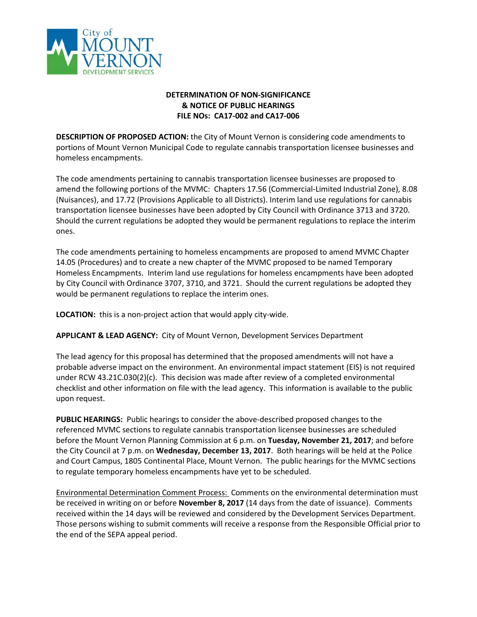

# **DETERMINATION OF NON-SIGNIFICANCE & NOTICE OF PUBLIC HEARINGS FILE NOs: CA17-002 and CA17-006**

**DESCRIPTION OF PROPOSED ACTION:** the City of Mount Vernon is considering code amendments to portions of Mount Vernon Municipal Code to regulate cannabis transportation licensee businesses and homeless encampments.

The code amendments pertaining to cannabis transportation licensee businesses are proposed to amend the following portions of the MVMC: Chapters 17.56 (Commercial-Limited Industrial Zone), 8.08 (Nuisances), and 17.72 (Provisions Applicable to all Districts). Interim land use regulations for cannabis transportation licensee businesses have been adopted by City Council with Ordinance 3713 and 3720. Should the current regulations be adopted they would be permanent regulations to replace the interim ones.

The code amendments pertaining to homeless encampments are proposed to amend MVMC Chapter 14.05 (Procedures) and to create a new chapter of the MVMC proposed to be named Temporary Homeless Encampments. Interim land use regulations for homeless encampments have been adopted by City Council with Ordinance 3707, 3710, and 3721. Should the current regulations be adopted they would be permanent regulations to replace the interim ones.

**LOCATION:** this is a non-project action that would apply city-wide.

**APPLICANT & LEAD AGENCY:** City of Mount Vernon, Development Services Department

The lead agency for this proposal has determined that the proposed amendments will not have a probable adverse impact on the environment. An environmental impact statement (EIS) is not required under RCW 43.21C.030(2)(c). This decision was made after review of a completed environmental checklist and other information on file with the lead agency. This information is available to the public upon request.

**PUBLIC HEARINGS:** Public hearings to consider the above-described proposed changes to the referenced MVMC sections to regulate cannabis transportation licensee businesses are scheduled before the Mount Vernon Planning Commission at 6 p.m. on **Tuesday, November 21, 2017**; and before the City Council at 7 p.m. on **Wednesday, December 13, 2017**. Both hearings will be held at the Police and Court Campus, 1805 Continental Place, Mount Vernon. The public hearings for the MVMC sections to regulate temporary homeless encampments have yet to be scheduled.

Environmental Determination Comment Process: Comments on the environmental determination must be received in writing on or before **November 8, 2017** (14 days from the date of issuance). Comments received within the 14 days will be reviewed and considered by the Development Services Department. Those persons wishing to submit comments will receive a response from the Responsible Official prior to the end of the SEPA appeal period.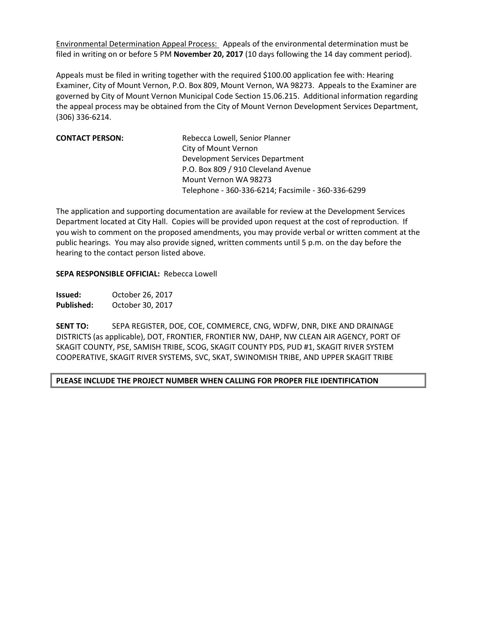Environmental Determination Appeal Process: Appeals of the environmental determination must be filed in writing on or before 5 PM **November 20, 2017** (10 days following the 14 day comment period).

Appeals must be filed in writing together with the required \$100.00 application fee with: Hearing Examiner, City of Mount Vernon, P.O. Box 809, Mount Vernon, WA 98273. Appeals to the Examiner are governed by City of Mount Vernon Municipal Code Section 15.06.215. Additional information regarding the appeal process may be obtained from the City of Mount Vernon Development Services Department, (306) 336-6214.

| Rebecca Lowell, Senior Planner                     |
|----------------------------------------------------|
| City of Mount Vernon                               |
| Development Services Department                    |
| P.O. Box 809 / 910 Cleveland Avenue                |
| Mount Vernon WA 98273                              |
| Telephone - 360-336-6214; Facsimile - 360-336-6299 |
|                                                    |

The application and supporting documentation are available for review at the Development Services Department located at City Hall. Copies will be provided upon request at the cost of reproduction. If you wish to comment on the proposed amendments, you may provide verbal or written comment at the public hearings. You may also provide signed, written comments until 5 p.m. on the day before the hearing to the contact person listed above.

## **SEPA RESPONSIBLE OFFICIAL:** Rebecca Lowell

**Issued:** October 26, 2017 **Published:** October 30, 2017

**SENT TO:** SEPA REGISTER, DOE, COE, COMMERCE, CNG, WDFW, DNR, DIKE AND DRAINAGE DISTRICTS (as applicable), DOT, FRONTIER, FRONTIER NW, DAHP, NW CLEAN AIR AGENCY, PORT OF SKAGIT COUNTY, PSE, SAMISH TRIBE, SCOG, SKAGIT COUNTY PDS, PUD #1, SKAGIT RIVER SYSTEM COOPERATIVE, SKAGIT RIVER SYSTEMS, SVC, SKAT, SWINOMISH TRIBE, AND UPPER SKAGIT TRIBE

## **PLEASE INCLUDE THE PROJECT NUMBER WHEN CALLING FOR PROPER FILE IDENTIFICATION**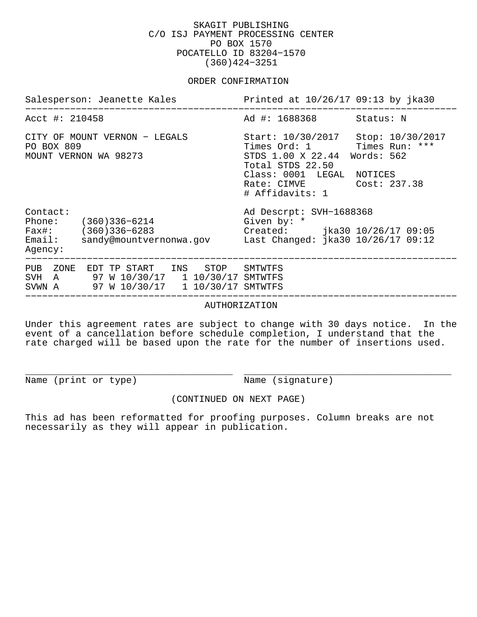## SKAGIT PUBLISHING C/O ISJ PAYMENT PROCESSING CENTER PO BOX 1570 POCATELLO ID 83204−1570 (360)424−3251

#### ORDER CONFIRMATION

| Salesperson: Jeanette Kales                                                                                         | Printed at 10/26/17 09:13 by jka30                                                                                                                                                                      |  |  |
|---------------------------------------------------------------------------------------------------------------------|---------------------------------------------------------------------------------------------------------------------------------------------------------------------------------------------------------|--|--|
| Acct #: 210458                                                                                                      | Ad #: 1688368<br>Status: N                                                                                                                                                                              |  |  |
| CITY OF MOUNT VERNON - LEGALS<br>PO BOX 809<br>MOUNT VERNON WA 98273                                                | Start: 10/30/2017 Stop: 10/30/2017<br>Times Ord: 1 Times Run: ***<br>STDS 1.00 X 22.44 Words: 562<br>Total STDS 22.50<br>Class: 0001 LEGAL<br>NOTICES<br>Cost: 237.38<br>Rate: CIMVE<br># Affidavits: 1 |  |  |
| Contact:<br>Phone: (360)336-6214<br>$Fast: (360)336-6283$<br>Email: sandy@mountvernonwa.gov<br>Agency:              | Ad Descrpt: SVH-1688368<br>Given by: *<br>Created: jka30 10/26/17 09:05<br>Last Changed: jka30 10/26/17 09:12                                                                                           |  |  |
| PUB ZONE EDT TP START INS STOP<br>SVH A 97 W 10/30/17 1 10/30/17 SMTWTFS<br>SVWN A 97 W 10/30/17 1 10/30/17 SMTWTFS | SMTWTFS                                                                                                                                                                                                 |  |  |
| AUTHORIZATION                                                                                                       |                                                                                                                                                                                                         |  |  |

Under this agreement rates are subject to change with 30 days notice. In the event of a cancellation before schedule completion, I understand that the rate charged will be based upon the rate for the number of insertions used.

Name (print or type) Name (signature)

\_\_\_\_\_\_\_\_\_\_\_\_\_\_\_\_\_\_\_\_\_\_\_\_\_\_\_\_\_\_\_\_\_\_\_\_\_ \_\_\_\_\_\_\_\_\_\_\_\_\_\_\_\_\_\_\_\_\_\_\_\_\_\_\_\_\_\_\_\_\_\_\_\_\_

(CONTINUED ON NEXT PAGE)

This ad has been reformatted for proofing purposes. Column breaks are not necessarily as they will appear in publication.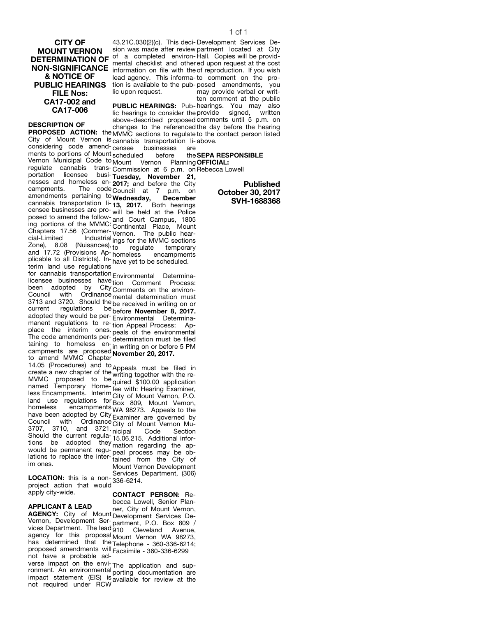CITY OF MOUNT VERNON & NOTICE OF FILE Nos: CA17-002 and CA17-006

DESCRIPTION OF

City of Mount Vernon is cannabis transportation li-above. considering code amend-censee businesses are ments to portions of Mount scheduled before the Vernon Municipal Code to Mount Vernon Planning OFFICIAL: regulate cannabis trans-Commission at 6 p.m. on Rebecca Lowell portation licensee busiportation licensee busi-**Tuesday, November 21,**<br>nesses and homeless en-**2017:** and before the City campments. The code Council at 7 p.m. on amendments pertaining to Wednesday, December cannabis transportation li-13, 2017. Both hearings censee businesses are proposed to amend the following portions of the MVMC: Chapters 17.56 (Commercial-Limited Industrial Zone), 8.08 (Nuisances), and 17.72 (Provisions Apand Tr.72 (Provisions Ap-homeless encampments<br>plicable to all Districts). In-<sub>have vet to be scheduled</sub> terim land use regulations 2017; and before the City will be held at the Police and Court Campus, 1805 Continental Place, Mount Vernon. The public hearings for the MVMC sections Example 19 Milliances), the contract of temporary<br>Zone), 8.08 (Nuisances), to regulate temporary have yet to be scheduled.

for cannabis transportation Environmental Determinalicensee businesses have tion Comment Process: been adopted by City been adopted by City<sub>Comments on the environ-</sub><br>Council with Ordinance<sub>mental determination must</sub> 3713 and 3720. Should the be received in writing on or current regulations be before **November 8, 2017.** adopted they would be permanent regulations to replace the interim ones. The code amendments pertaining to homeless encampments are proposed to amend MVMC Chapter mental determination must Environmental Determination Appeal Process: Appeals of the environmental determination must be filed in writing on or before 5 PM campments are proposed November 20, 2017.

14.05 (Procedures) and to The create a new chapter of the <sub>writing</sub> must be filed in<br>Create a new chapter of the writing together with the re-MVMC proposed to be named Temporary Homeless Encampments. Interim land use regulations for homeless encampments have been adopted by City Council with Ordinance City of Mount Vernon Mu-3707, 3710, and 3721. S707, S710, and S721 nicipal Code Section<br>Should the current regula-15.06.215, Additional infortions be adopted they mation regarding the apwould be permanent regulations to replace the interim ones. writing together with the required \$100.00 application fee with: Hearing Examiner, City of Mount Vernon, P.O. Box 809, Mount Vernon, WA 98273. Appeals to the Homeless Showing WA such the series of the saminer are governed by 15.06.215. Additional inforpeal process may be obtained from the City of Mount Vernon Development Services Department. (306)

LOCATION: this is a non-**LOCATION:** this is a non-<sub>336-6214.<br>project action that would</sub> apply city-wide.

CONTACT PERSON: Re-

APPLICANT & LEAD AGENCY: City of Mount Development Services De-Vernon, Development Servernon, Development Ser-<sub>partment,</sub> P.O. Box 809 /<br>vices Department, The lead 910 Cleveland Avenue agency for this proposal agency for this proposal<sub>Mount</sub> Vernon WA 98273,<br>has determined that the <sub>Telenhone - 360-336-6214</sub>. proposed amendments will Facsimile - 360-336-6299 not have a probable adbecca Lowell, Senior Planner, City of Mount Vernon, 910 Cleveland Avenue, Telephone - 360-336-6214;

verse impact on the environment. An environmental impact statement (EIS) is not required under RCW The application and supporting documentation are available for review at the

**DETERMINATION OF** of a completed environ-Hall. Copies will be provid-<br>DETERMINATION OF montal chocklist and othered upon request at the cost DETERIVING FION OF mental checklist and other<br>**NON-SIGNIFICANCE** information on file with the PUBLIC HEARINGS tion is available to the pub-posed amendments, you 43.21C.030(2)(c). This deci-Development Services Desion was made after review partment located at City information on file with the lead agency. This informa-to comment on the prolic upon request. ed upon request at the cost of reproduction. If you wish may provide verbal or written comment at the public

PROPOSED ACTION: the MVMC sections to regulate to the contact person listed PUBLIC HEARINGS: Pub-hearings. You may also lic hearings to consider the provide signed, written above-described proposed comments until 5 p.m. on changes to the referenced the day before the hearing

the SEPA RESPONSIBLE

Published October 30, 2017 SVH-1688368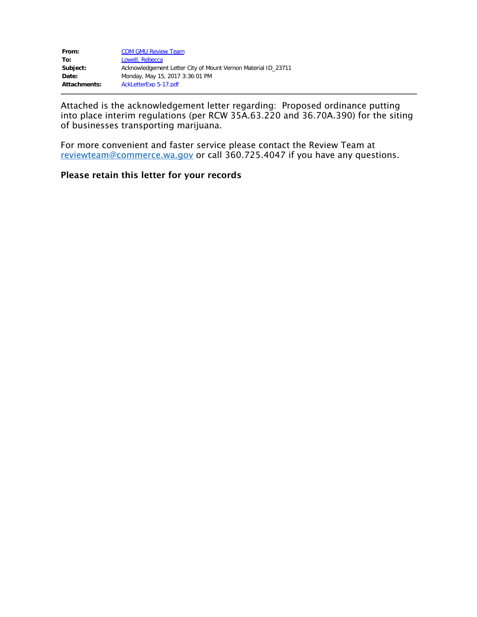| From:        | <b>COM GMU Review Team</b>                                    |
|--------------|---------------------------------------------------------------|
| To:          | Lowell, Rebecca                                               |
| Subject:     | Acknowledgement Letter City of Mount Vernon Material ID 23711 |
| Date:        | Monday, May 15, 2017 3:36:01 PM                               |
| Attachments: | AckLetterExp 5-17.pdf                                         |

Attached is the acknowledgement letter regarding: Proposed ordinance putting into place interim regulations (per RCW 35A.63.220 and 36.70A.390) for the siting of businesses transporting marijuana.

For more convenient and faster service please contact the Review Team at [reviewteam@commerce.wa.gov](mailto:reviewteam@commerce.wa.gov) or call 360.725.4047 if you have any questions.

# Please retain this letter for your records